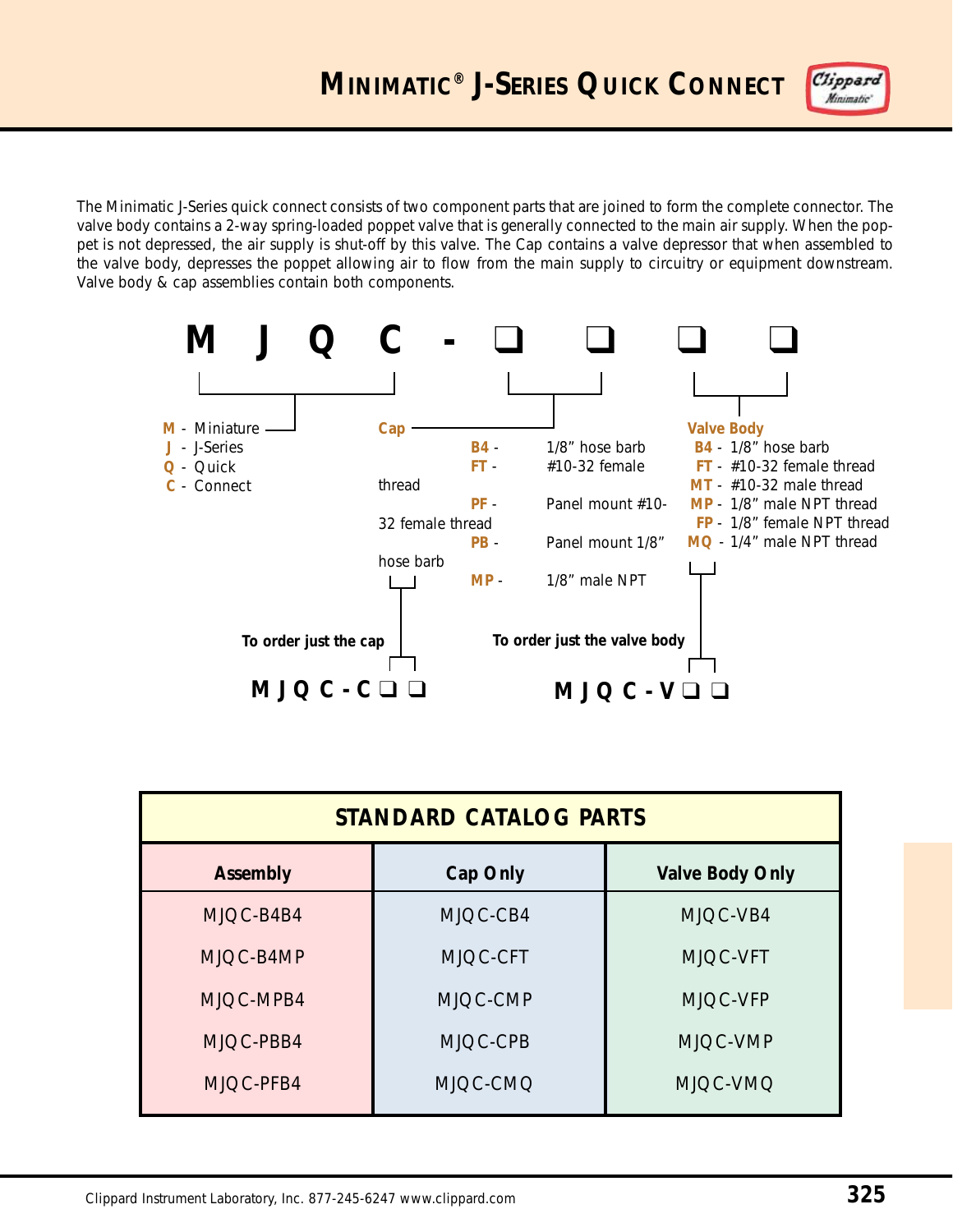Clippard Minimatic'

The Minimatic J-Series quick connect consists of two component parts that are joined to form the complete connector. The valve body contains a 2-way spring-loaded poppet valve that is generally connected to the main air supply. When the poppet is not depressed, the air supply is shut-off by this valve. The Cap contains a valve depressor that when assembled to the valve body, depresses the poppet allowing air to flow from the main supply to circuitry or equipment downstream. Valve body & cap assemblies contain both components.



| <b>STANDARD CATALOG PARTS</b> |          |                        |  |
|-------------------------------|----------|------------------------|--|
| <b>Assembly</b>               | Cap Only | <b>Valve Body Only</b> |  |
| MJOC-B4B4                     | MJOC-CB4 | MJQC-VB4               |  |
| MJQC-B4MP                     | MJQC-CFT | MJQC-VFT               |  |
| MJQC-MPB4                     | MJQC-CMP | MJQC-VFP               |  |
| MJQC-PBB4                     | MJOC-CPB | MJQC-VMP               |  |
| MJQC-PFB4                     | MJQC-CMQ | MJQC-VMQ               |  |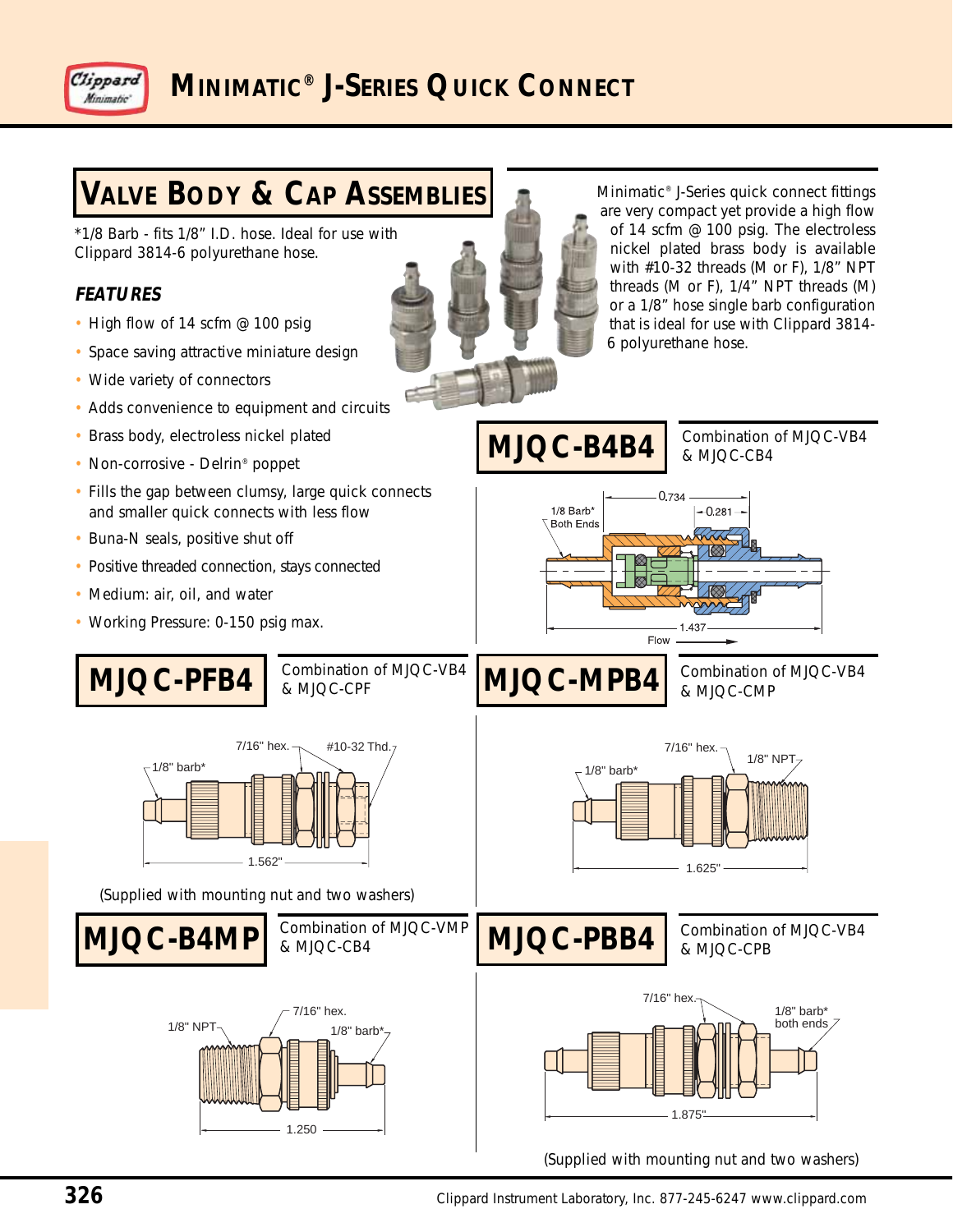



(Supplied with mounting nut and two washers)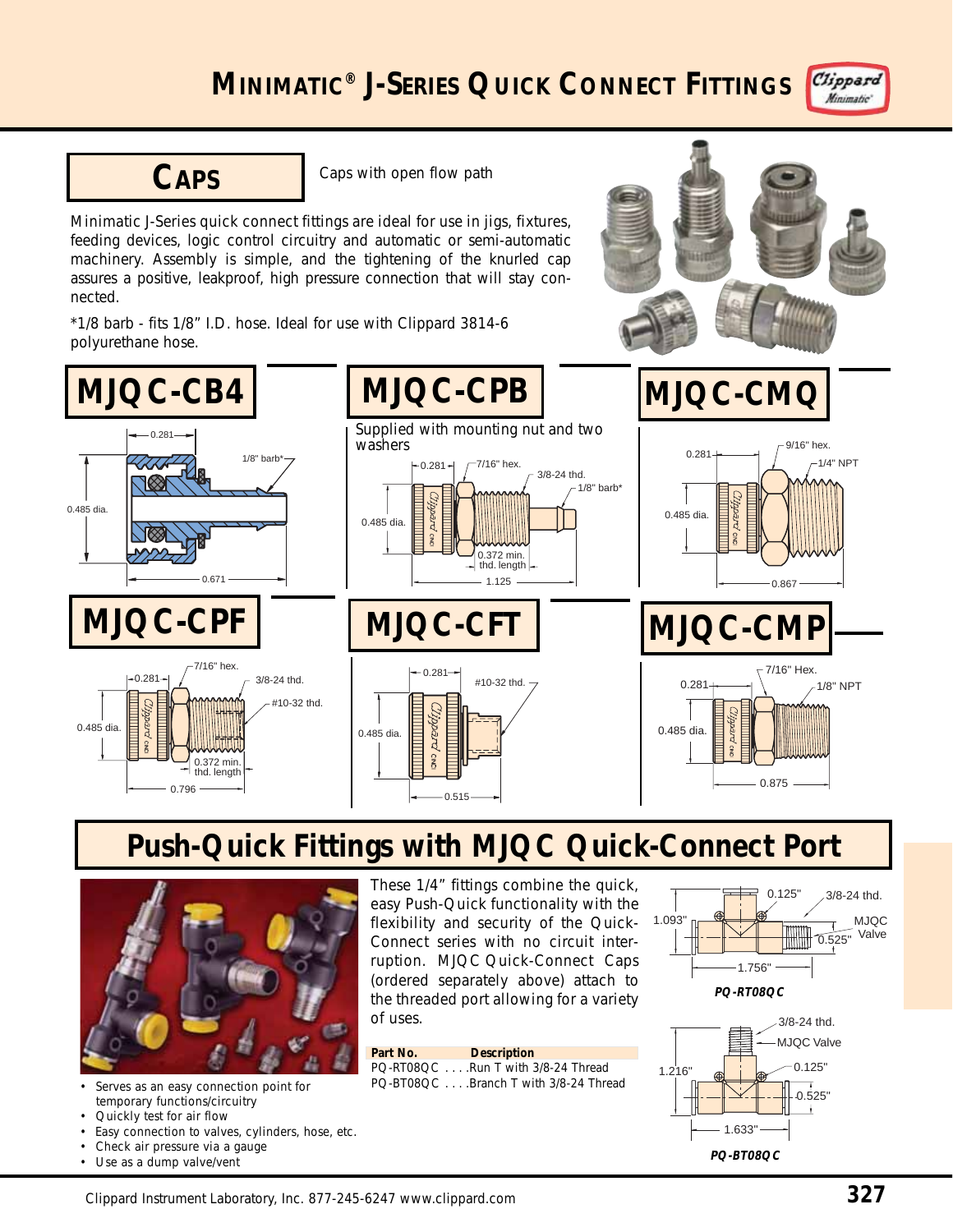



**CAPS** Caps with open flow path

Minimatic J-Series quick connect fittings are ideal for use in jigs, fixtures, feeding devices, logic control circuitry and automatic or semi-automatic machinery. Assembly is simple, and the tightening of the knurled cap assures a positive, leakproof, high pressure connection that will stay connected.

\*1/8 barb - fits 1/8" I.D. hose. Ideal for use with Clippard 3814-6 polyurethane hose.



## **Push-Quick Fittings with MJQC Quick-Connect Port**

 $0.515$ 

 $2M<sub>2</sub>$ 



Serves as an easy connection point for temporary functions/circuitry

0.796

 $\tilde{z}$ 

0.485 dia.

0.372 min. thd. length

- Quickly test for air flow
- Easy connection to valves, cylinders, hose, etc.
- Check air pressure via a gauge
- Use as a dump valve/vent

These 1/4" fittings combine the quick, easy Push-Quick functionality with the flexibility and security of the Quick-Connect series with no circuit interruption. MJQC Quick-Connect Caps (ordered separately above) attach to the threaded port allowing for a variety of uses.





0.875

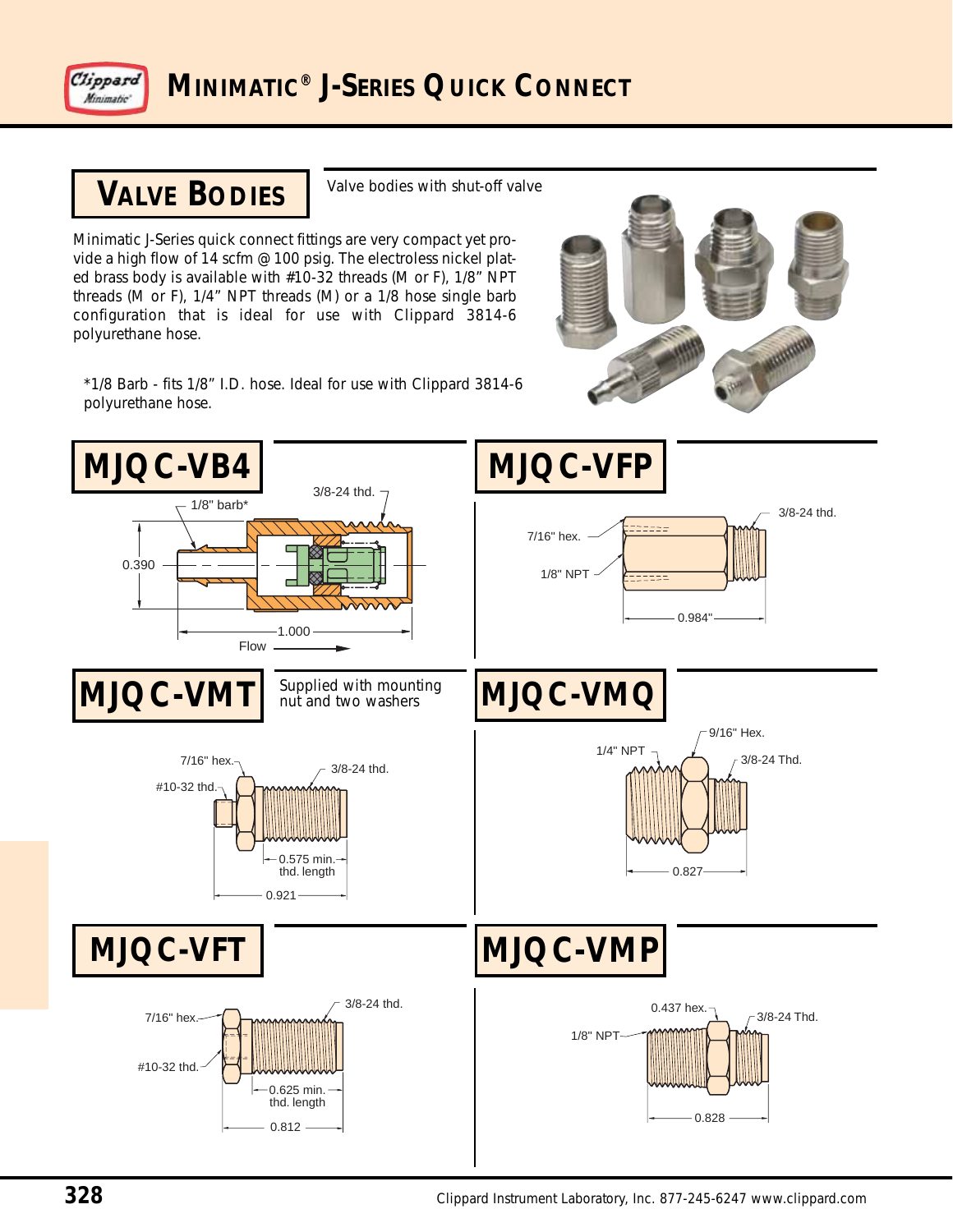

## **VALVE BODIES**

Valve bodies with shut-off valve

Minimatic J-Series quick connect fittings are very compact yet provide a high flow of 14 scfm @ 100 psig. The electroless nickel plated brass body is available with #10-32 threads (M or F), 1/8" NPT threads (M or F), 1/4" NPT threads (M) or a 1/8 hose single barb configuration that is ideal for use with Clippard 3814-6 polyurethane hose.

\*1/8 Barb - fits 1/8" I.D. hose. Ideal for use with Clippard 3814-6 polyurethane hose.

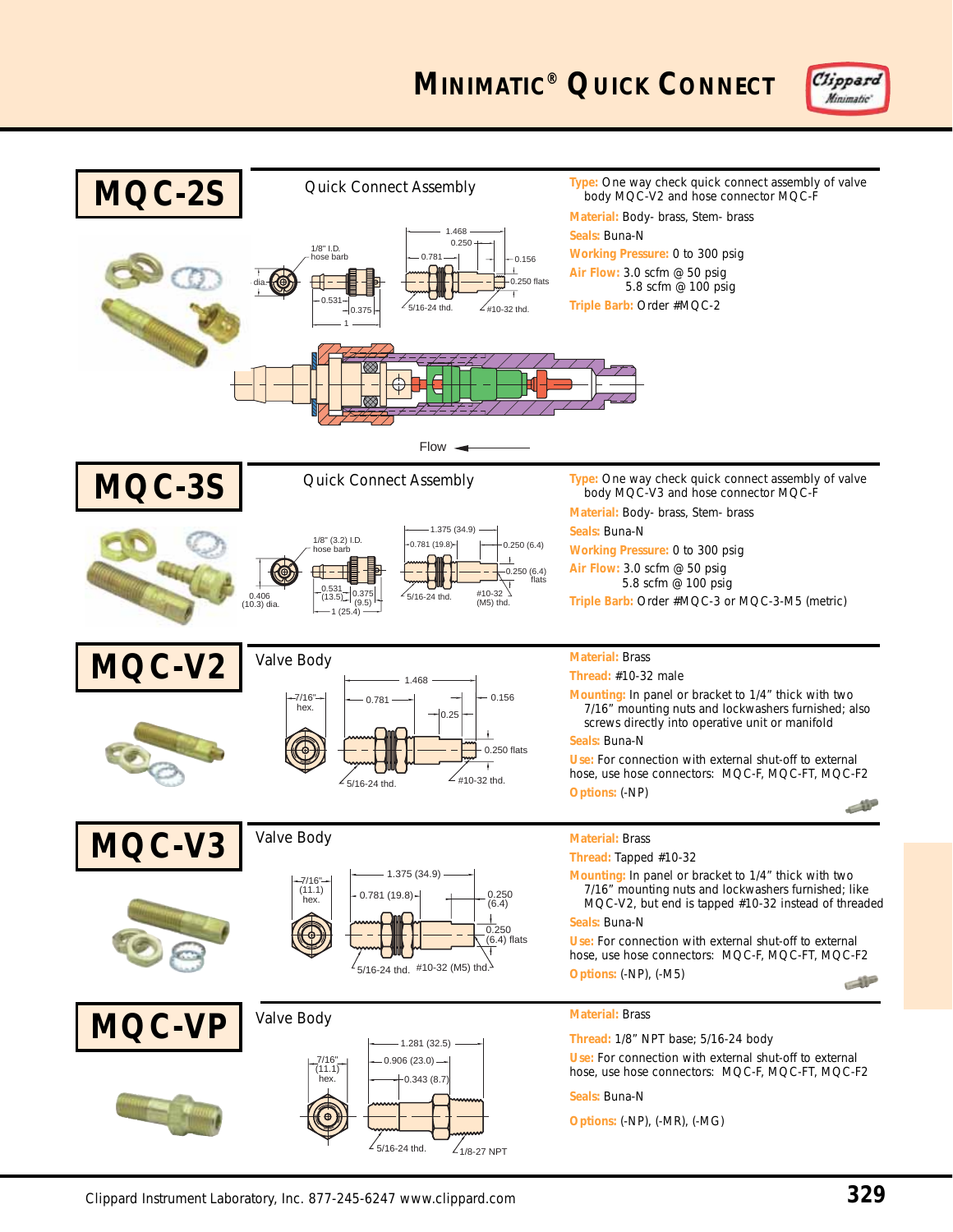